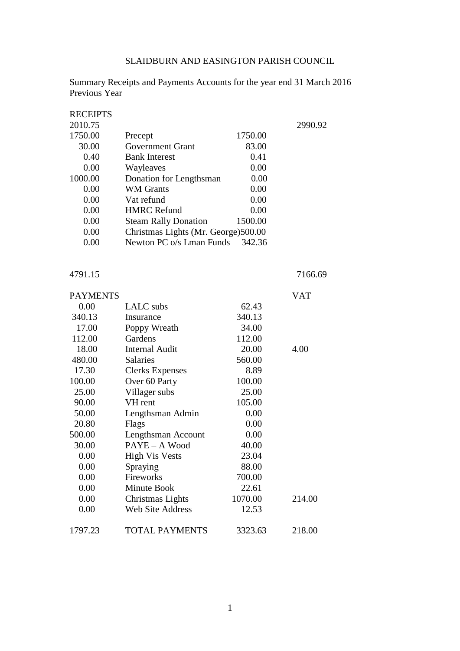# SLAIDBURN AND EASINGTON PARISH COUNCIL

Summary Receipts and Payments Accounts for the year end 31 March 2016 Previous Year

| <b>RECEIPTS</b> |                                      |         |         |
|-----------------|--------------------------------------|---------|---------|
| 2010.75         |                                      |         | 2990.92 |
| 1750.00         | Precept                              | 1750.00 |         |
| 30.00           | Government Grant                     | 83.00   |         |
| 0.40            | <b>Bank Interest</b>                 | 0.41    |         |
| 0.00            | Wayleaves                            | 0.00    |         |
| 1000.00         | Donation for Lengthsman              | 0.00    |         |
| 0.00            | <b>WM</b> Grants                     | 0.00    |         |
| 0.00            | Vat refund                           | 0.00    |         |
| 0.00            | <b>HMRC</b> Refund                   | 0.00    |         |
| 0.00            | <b>Steam Rally Donation</b>          | 1500.00 |         |
| 0.00            | Christmas Lights (Mr. George) 500.00 |         |         |
| 0.00            | Newton PC o/s Lman Funds             | 342.36  |         |
|                 |                                      |         |         |

4791.15 7166.69

|                         |         | VAT    |
|-------------------------|---------|--------|
| LALC subs               | 62.43   |        |
| Insurance               | 340.13  |        |
| Poppy Wreath            | 34.00   |        |
| Gardens                 | 112.00  |        |
| <b>Internal Audit</b>   | 20.00   | 4.00   |
| <b>Salaries</b>         | 560.00  |        |
| <b>Clerks Expenses</b>  | 8.89    |        |
| Over 60 Party           | 100.00  |        |
| Villager subs           | 25.00   |        |
| VH rent                 | 105.00  |        |
| Lengthsman Admin        | 0.00    |        |
| Flags                   | 0.00    |        |
| Lengthsman Account      | 0.00    |        |
| PAYE - A Wood           | 40.00   |        |
| <b>High Vis Vests</b>   | 23.04   |        |
| Spraying                | 88.00   |        |
| Fireworks               | 700.00  |        |
| Minute Book             | 22.61   |        |
| Christmas Lights        | 1070.00 | 214.00 |
| <b>Web Site Address</b> | 12.53   |        |
| <b>TOTAL PAYMENTS</b>   | 3323.63 | 218.00 |
|                         |         |        |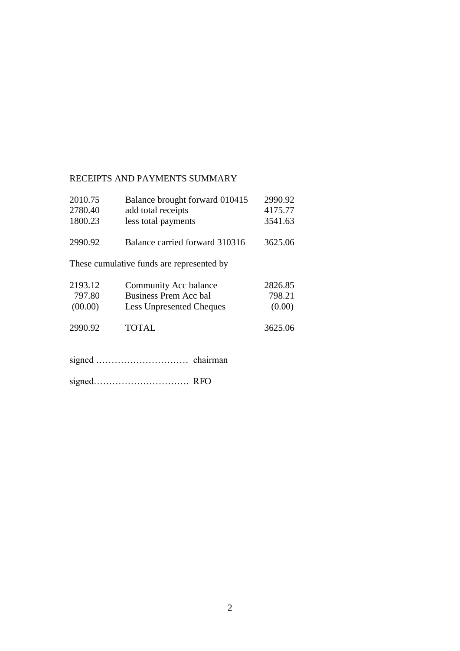# RECEIPTS AND PAYMENTS SUMMARY

| 2010.75 | Balance brought forward 010415            | 2990.92 |
|---------|-------------------------------------------|---------|
| 2780.40 | add total receipts                        | 4175.77 |
| 1800.23 | less total payments                       | 3541.63 |
| 2990.92 | Balance carried forward 310316            | 3625.06 |
|         | These cumulative funds are represented by |         |
| 2193.12 | Community Acc balance                     | 2826.85 |
| 797.80  | Business Prem Acc bal                     | 798.21  |
| (00.00) | <b>Less Unpresented Cheques</b>           | (0.00)  |
| 2990.92 | TOTAL                                     | 3625.06 |
|         |                                           |         |

signed…………………………. RFO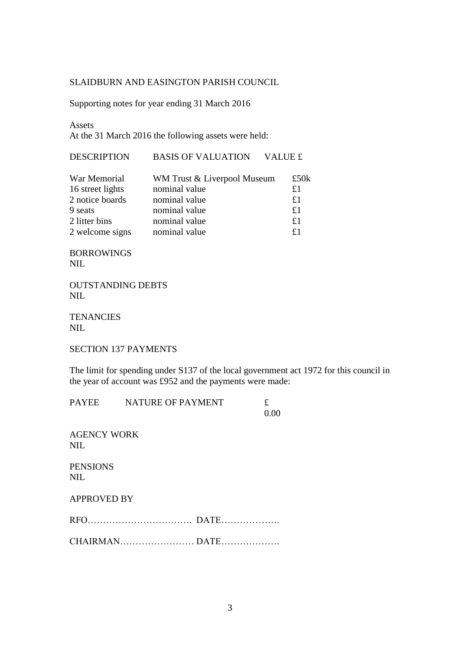### SLAIDBURN AND EASINGTON PARISH COUNCIL

Supporting notes for year ending 31 March 2016

Assets

At the 31 March 2016 the following assets were held:

| <b>DESCRIPTION</b> | <b>BASIS OF VALUATION</b>   | VALUE £        |
|--------------------|-----------------------------|----------------|
| War Memorial       | WM Trust & Liverpool Museum | £50 $k$        |
| 16 street lights   | nominal value               | £1             |
| 2 notice boards    | nominal value               | £1             |
| 9 seats            | nominal value               | £1             |
| 2 litter bins      | nominal value               | £1             |
| 2 welcome signs    | nominal value               | f <sub>1</sub> |

BORROWINGS NIL

OUTSTANDING DEBTS NIL

**TENANCIES** NIL

SECTION 137 PAYMENTS

The limit for spending under S137 of the local government act 1972 for this council in the year of account was £952 and the payments were made:

| <b>PAYEE</b>                  | <b>NATURE OF PAYMENT</b> | £<br>0.00 |
|-------------------------------|--------------------------|-----------|
| <b>AGENCY WORK</b><br>NIL.    |                          |           |
| <b>PENSIONS</b><br><b>NIL</b> |                          |           |
| <b>APPROVED BY</b>            |                          |           |
|                               |                          |           |
|                               |                          |           |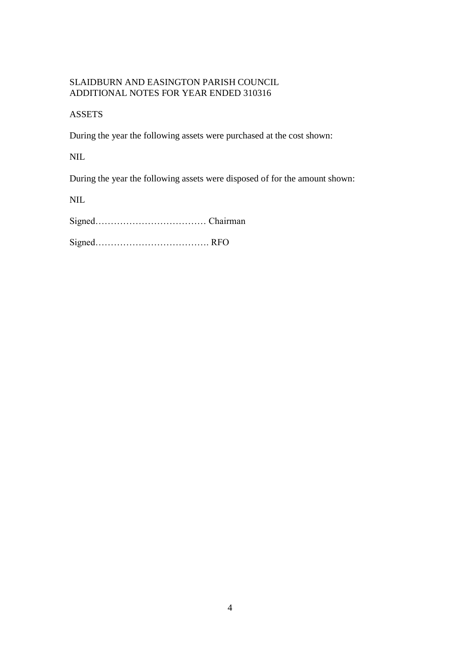### SLAIDBURN AND EASINGTON PARISH COUNCIL ADDITIONAL NOTES FOR YEAR ENDED 310316

### ASSETS

During the year the following assets were purchased at the cost shown:

NIL

During the year the following assets were disposed of for the amount shown:

NIL

Signed……………………………… Chairman

Signed………………………………. RFO